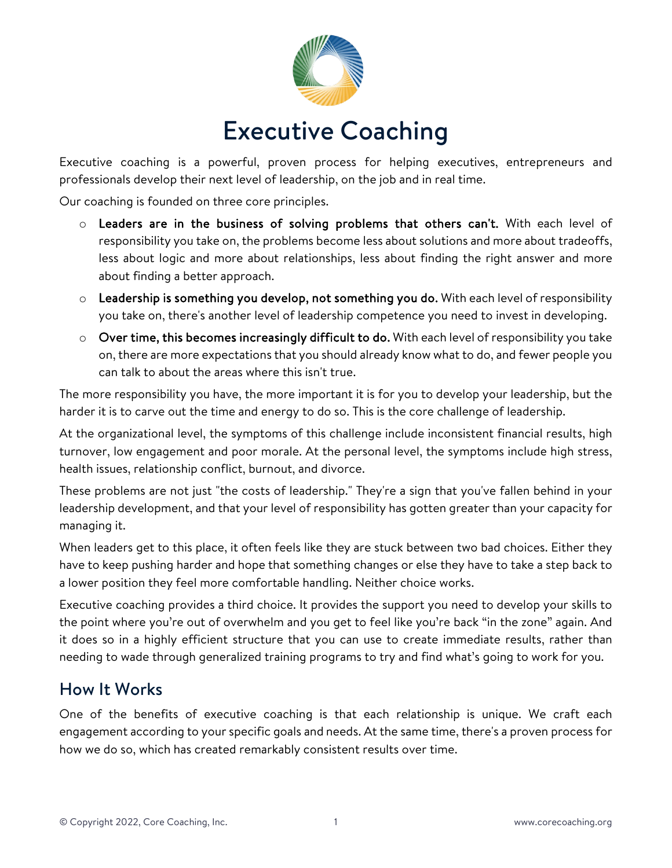

# Executive Coaching

Executive coaching is a powerful, proven process for helping executives, entrepreneurs and professionals develop their next level of leadership, on the job and in real time.

Our coaching is founded on three core principles.

- $\circ$  Leaders are in the business of solving problems that others can't. With each level of responsibility you take on, the problems become less about solutions and more about tradeoffs, less about logic and more about relationships, less about finding the right answer and more about finding a better approach.
- o Leadership is something you develop, not something you do. With each level of responsibility you take on, there's another level of leadership competence you need to invest in developing.
- o Over time, this becomes increasingly difficult to do. With each level of responsibility you take on, there are more expectations that you should already know what to do, and fewer people you can talk to about the areas where this isn't true.

The more responsibility you have, the more important it is for you to develop your leadership, but the harder it is to carve out the time and energy to do so. This is the core challenge of leadership.

At the organizational level, the symptoms of this challenge include inconsistent financial results, high turnover, low engagement and poor morale. At the personal level, the symptoms include high stress, health issues, relationship conflict, burnout, and divorce.

These problems are not just "the costs of leadership." They're a sign that you've fallen behind in your leadership development, and that your level of responsibility has gotten greater than your capacity for managing it.

When leaders get to this place, it often feels like they are stuck between two bad choices. Either they have to keep pushing harder and hope that something changes or else they have to take a step back to a lower position they feel more comfortable handling. Neither choice works.

Executive coaching provides a third choice. It provides the support you need to develop your skills to the point where you're out of overwhelm and you get to feel like you're back "in the zone" again. And it does so in a highly efficient structure that you can use to create immediate results, rather than needing to wade through generalized training programs to try and find what's going to work for you.

#### How It Works

One of the benefits of executive coaching is that each relationship is unique. We craft each engagement according to your specific goals and needs. At the same time, there's a proven process for how we do so, which has created remarkably consistent results over time.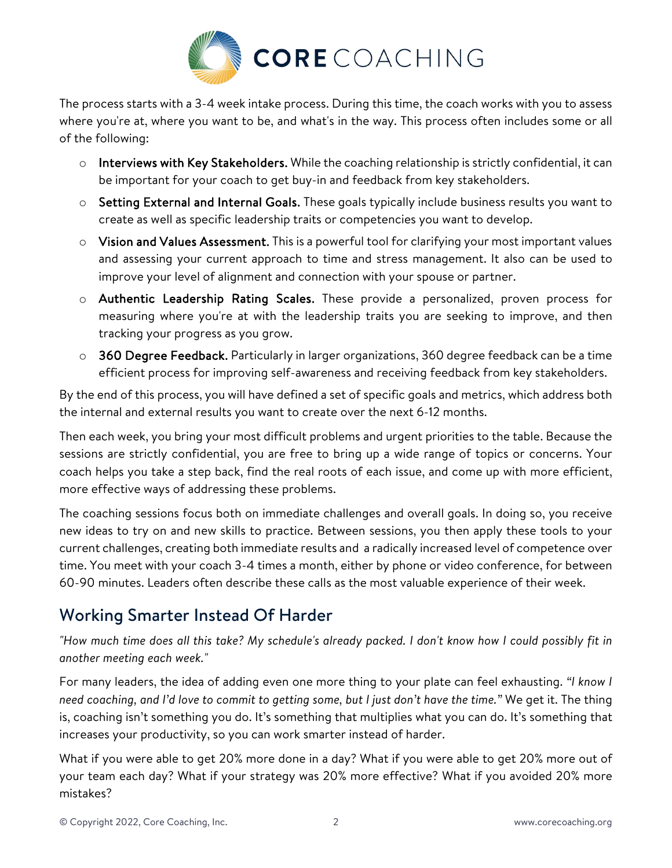

The process starts with a 3-4 week intake process. During this time, the coach works with you to assess where you're at, where you want to be, and what's in the way. This process often includes some or all of the following:

- o Interviews with Key Stakeholders. While the coaching relationship is strictly confidential, it can be important for your coach to get buy-in and feedback from key stakeholders.
- o Setting External and Internal Goals. These goals typically include business results you want to create as well as specific leadership traits or competencies you want to develop.
- o Vision and Values Assessment. This is a powerful tool for clarifying your most important values and assessing your current approach to time and stress management. It also can be used to improve your level of alignment and connection with your spouse or partner.
- o Authentic Leadership Rating Scales. These provide a personalized, proven process for measuring where you're at with the leadership traits you are seeking to improve, and then tracking your progress as you grow.
- o 360 Degree Feedback. Particularly in larger organizations, 360 degree feedback can be a time efficient process for improving self-awareness and receiving feedback from key stakeholders.

By the end of this process, you will have defined a set of specific goals and metrics, which address both the internal and external results you want to create over the next 6-12 months.

Then each week, you bring your most difficult problems and urgent priorities to the table. Because the sessions are strictly confidential, you are free to bring up a wide range of topics or concerns. Your coach helps you take a step back, find the real roots of each issue, and come up with more efficient, more effective ways of addressing these problems.

The coaching sessions focus both on immediate challenges and overall goals. In doing so, you receive new ideas to try on and new skills to practice. Between sessions, you then apply these tools to your current challenges, creating both immediate results and a radically increased level of competence over time. You meet with your coach 3-4 times a month, either by phone or video conference, for between 60-90 minutes. Leaders often describe these calls as the most valuable experience of their week.

## Working Smarter Instead Of Harder

*"How much time does all this take? My schedule's already packed. I don't know how I could possibly fit in another meeting each week."*

For many leaders, the idea of adding even one more thing to your plate can feel exhausting. *"I know I need coaching, and I'd love to commit to getting some, but I just don't have the time."* We get it. The thing is, coaching isn't something you do. It's something that multiplies what you can do. It's something that increases your productivity, so you can work smarter instead of harder.

What if you were able to get 20% more done in a day? What if you were able to get 20% more out of your team each day? What if your strategy was 20% more effective? What if you avoided 20% more mistakes?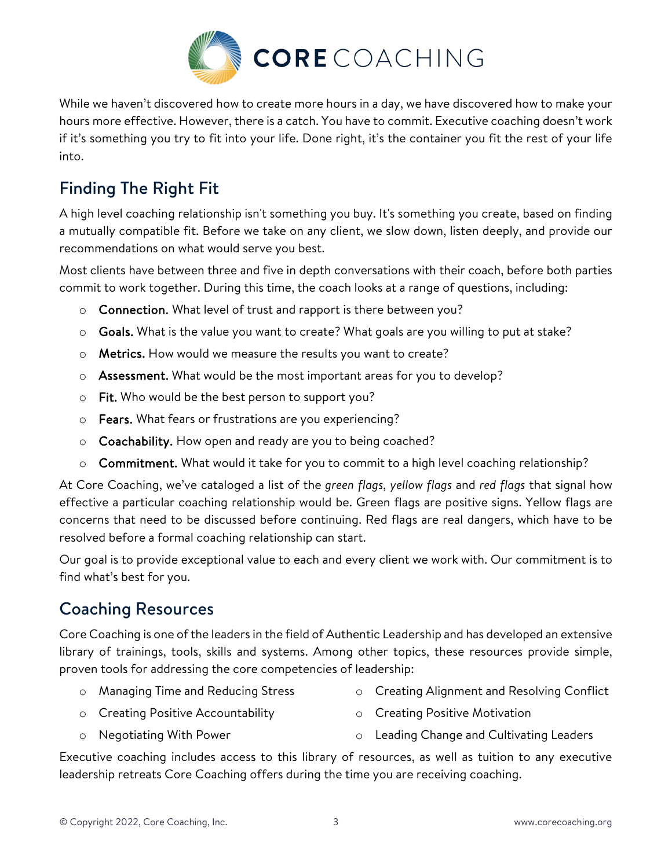

While we haven't discovered how to create more hours in a day, we have discovered how to make your hours more effective. However, there is a catch. You have to commit. Executive coaching doesn't work if it's something you try to fit into your life. Done right, it's the container you fit the rest of your life into.

## Finding The Right Fit

A high level coaching relationship isn't something you buy. It's something you create, based on finding a mutually compatible fit. Before we take on any client, we slow down, listen deeply, and provide our recommendations on what would serve you best.

Most clients have between three and five in depth conversations with their coach, before both parties commit to work together. During this time, the coach looks at a range of questions, including:

- o Connection. What level of trust and rapport is there between you?
- o Goals. What is the value you want to create? What goals are you willing to put at stake?
- o Metrics. How would we measure the results you want to create?
- o Assessment. What would be the most important areas for you to develop?
- o Fit. Who would be the best person to support you?
- o Fears. What fears or frustrations are you experiencing?
- o Coachability. How open and ready are you to being coached?
- $\circ$  Commitment. What would it take for you to commit to a high level coaching relationship?

At Core Coaching, we've cataloged a list of the *green flags, yellow flags* and *red flags* that signal how effective a particular coaching relationship would be. Green flags are positive signs. Yellow flags are concerns that need to be discussed before continuing. Red flags are real dangers, which have to be resolved before a formal coaching relationship can start.

Our goal is to provide exceptional value to each and every client we work with. Our commitment is to find what's best for you.

#### Coaching Resources

Core Coaching is one of the leaders in the field of Authentic Leadership and has developed an extensive library of trainings, tools, skills and systems. Among other topics, these resources provide simple, proven tools for addressing the core competencies of leadership:

- o Managing Time and Reducing Stress
- o Creating Alignment and Resolving Conflict
- o Creating Positive Accountability
- o Creating Positive Motivation
- o Negotiating With Power o Leading Change and Cultivating Leaders

Executive coaching includes access to this library of resources, as well as tuition to any executive leadership retreats Core Coaching offers during the time you are receiving coaching.